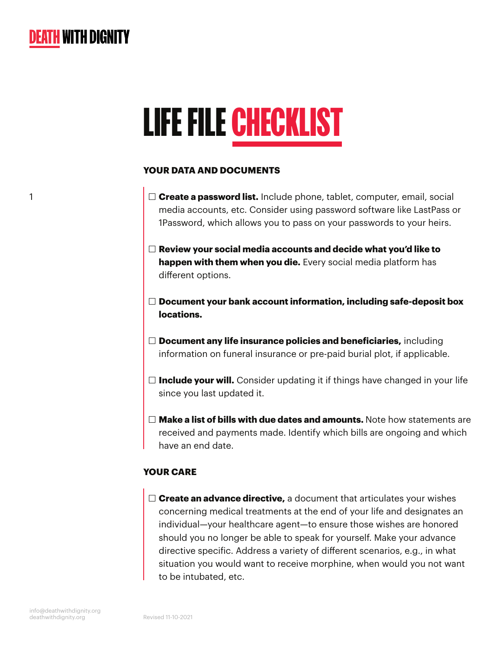

1

# LIFE FILE CHECKLIST

#### **YOUR DATA AND DOCUMENTS**

- **Create a password list.** Include phone, tablet, computer, email, social media accounts, etc. Consider using password software like LastPass or 1Password, which allows you to pass on your passwords to your heirs.
- **Review your social media accounts and decide what you'd like to happen with them when you die.** Every social media platform has different options.
- **Document your bank account information, including safe-deposit box locations.**
- **Document any life insurance policies and beneficiaries,** including information on funeral insurance or pre-paid burial plot, if applicable.
- $\Box$  **Include your will.** Consider updating it if things have changed in your life since you last updated it.
- **Make a list of bills with due dates and amounts.** Note how statements are received and payments made. Identify which bills are ongoing and which have an end date.

#### **YOUR CARE**

 **Create an advance directive,** a document that articulates your wishes concerning medical treatments at the end of your life and designates an individual—your healthcare agent—to ensure those wishes are honored should you no longer be able to speak for yourself. Make your advance directive specific. Address a variety of different scenarios, e.g., in what situation you would want to receive morphine, when would you not want to be intubated, etc.